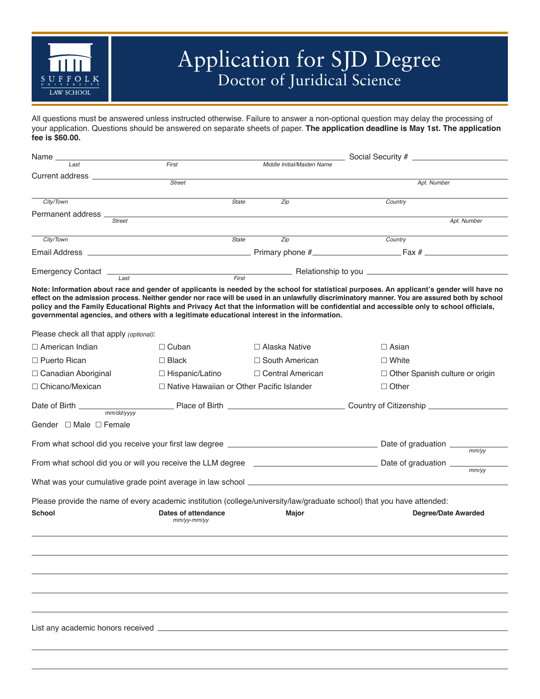

## Application for SJD Degree Doctor of Juridical Science

All questions must be answered unless instructed otherwise. Failure to answer a non-optional question may delay the processing of your application. Questions should be answered on separate sheets of paper. **The application deadline is May 1st. The application fee is \$60.00.**

| Name __           |               |       |              |                            |                  |             |
|-------------------|---------------|-------|--------------|----------------------------|------------------|-------------|
| Last              |               | First |              | Middle Initial/Maiden Name |                  |             |
| Current address   |               |       |              |                            |                  |             |
|                   | <b>Street</b> |       |              |                            | Apt. Number      |             |
| City/Town         |               |       | <b>State</b> | Zip                        | Country          |             |
| Permanent address |               |       |              |                            |                  |             |
|                   | <b>Street</b> |       |              |                            |                  | Apt. Number |
| City/Town         |               |       | <b>State</b> | Zip                        | Country          |             |
| Email Address     |               |       |              | Primary phone #            | $.$ Fax # $\_\_$ |             |
| Emergency Contact |               |       |              |                            |                  |             |
|                   | Last          |       | First        |                            |                  |             |

**Note: Information about race and gender of applicants is needed by the school for statistical purposes. An applicant's gender will have no effect on the admission process. Neither gender nor race will be used in an unlawfully discriminatory manner. You are assured both by school policy and the Family Educational Rights and Privacy Act that the information will be confidential and accessible only to school officials, governmental agencies, and others with a legitimate educational interest in the information.**

Please check all that apply *(optional)*:

| $\Box$ American Indian           | $\Box$ Cuban                                     | $\Box$ Alaska Native                                                                                                                                                                                                          | $\Box$ Asian               |                                        |  |
|----------------------------------|--------------------------------------------------|-------------------------------------------------------------------------------------------------------------------------------------------------------------------------------------------------------------------------------|----------------------------|----------------------------------------|--|
| $\Box$ Puerto Rican              | $\square$ Black                                  | $\Box$ South American                                                                                                                                                                                                         | $\Box$ White               |                                        |  |
| $\Box$ Canadian Aboriginal       | $\Box$ Hispanic/Latino                           | $\Box$ Central American                                                                                                                                                                                                       |                            | $\Box$ Other Spanish culture or origin |  |
| □ Chicano/Mexican                | $\Box$ Native Hawaiian or Other Pacific Islander |                                                                                                                                                                                                                               | $\Box$ Other               |                                        |  |
|                                  |                                                  |                                                                                                                                                                                                                               |                            |                                        |  |
| Gender $\Box$ Male $\Box$ Female |                                                  |                                                                                                                                                                                                                               |                            |                                        |  |
|                                  |                                                  |                                                                                                                                                                                                                               |                            | $\frac{m}{w}$                          |  |
|                                  |                                                  | mm/VV                                                                                                                                                                                                                         |                            |                                        |  |
|                                  |                                                  | What was your cumulative grade point average in law school entitled and the control of the control of the control of the control of the control of the control of the control of the control of the control of the control of |                            |                                        |  |
|                                  |                                                  |                                                                                                                                                                                                                               |                            |                                        |  |
|                                  |                                                  | Please provide the name of every academic institution (college/university/law/graduate school) that you have attended:                                                                                                        |                            |                                        |  |
| <b>School</b>                    | Dates of attendance<br>$mm/yy-mm/yy$             | Major                                                                                                                                                                                                                         | <b>Degree/Date Awarded</b> |                                        |  |
|                                  |                                                  |                                                                                                                                                                                                                               |                            |                                        |  |
|                                  |                                                  |                                                                                                                                                                                                                               |                            |                                        |  |
|                                  |                                                  |                                                                                                                                                                                                                               |                            |                                        |  |
|                                  |                                                  |                                                                                                                                                                                                                               |                            |                                        |  |
|                                  |                                                  |                                                                                                                                                                                                                               |                            |                                        |  |